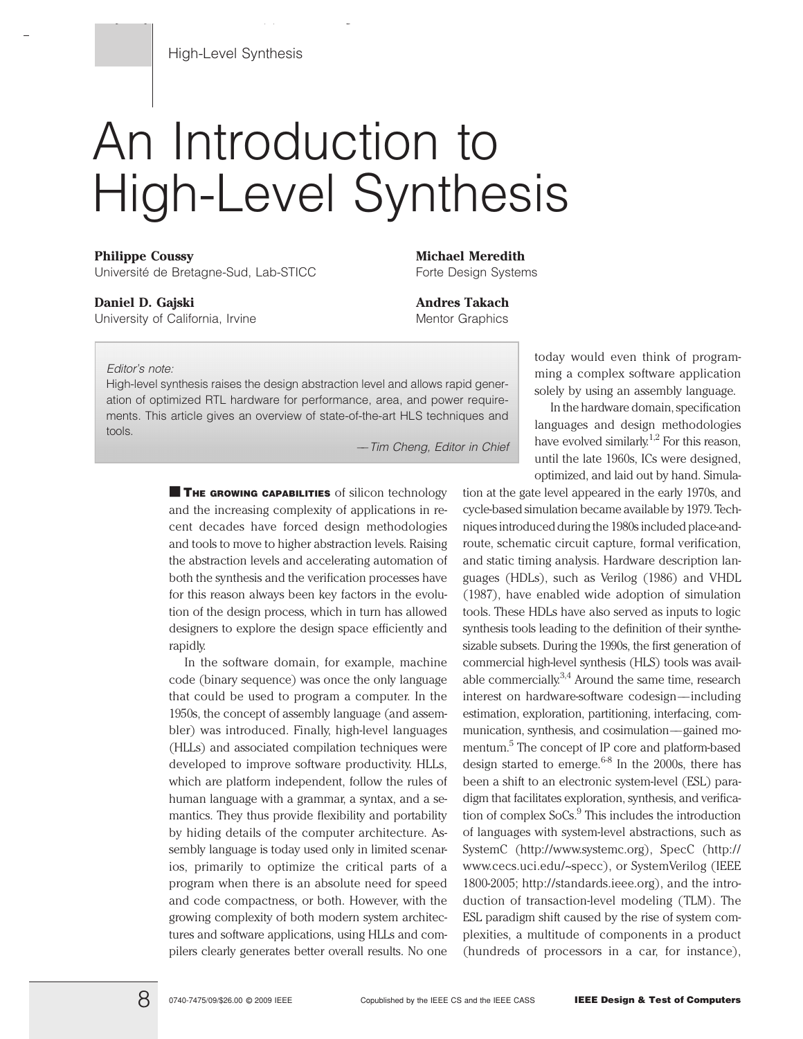# An Introduction to High-Level Synthesis

Philippe Coussy Université de Bretagne-Sud, Lab-STICC

Daniel D. Gajski

University of California, Irvine

Michael Meredith Forte Design Systems

# Andres Takach Mentor Graphics

Editor's note:

High-level synthesis raises the design abstraction level and allows rapid generation of optimized RTL hardware for performance, area, and power requirements. This article gives an overview of state-of-the-art HLS techniques and tools.

- Tim Cheng, Editor in Chief

**THE GROWING CAPABILITIES** of silicon technology and the increasing complexity of applications in recent decades have forced design methodologies and tools to move to higher abstraction levels. Raising the abstraction levels and accelerating automation of both the synthesis and the verification processes have for this reason always been key factors in the evolution of the design process, which in turn has allowed designers to explore the design space efficiently and rapidly.

In the software domain, for example, machine code (binary sequence) was once the only language that could be used to program a computer. In the 1950s, the concept of assembly language (and assembler) was introduced. Finally, high-level languages (HLLs) and associated compilation techniques were developed to improve software productivity. HLLs, which are platform independent, follow the rules of human language with a grammar, a syntax, and a semantics. They thus provide flexibility and portability by hiding details of the computer architecture. Assembly language is today used only in limited scenarios, primarily to optimize the critical parts of a program when there is an absolute need for speed and code compactness, or both. However, with the growing complexity of both modern system architectures and software applications, using HLLs and compilers clearly generates better overall results. No one today would even think of programming a complex software application solely by using an assembly language.

In the hardware domain, specification languages and design methodologies have evolved similarly.<sup>1,2</sup> For this reason, until the late 1960s, ICs were designed, optimized, and laid out by hand. Simula-

tion at the gate level appeared in the early 1970s, and cycle-based simulation became available by 1979. Techniques introduced during the 1980s included place-androute, schematic circuit capture, formal verification, and static timing analysis. Hardware description languages (HDLs), such as Verilog (1986) and VHDL (1987), have enabled wide adoption of simulation tools. These HDLs have also served as inputs to logic synthesis tools leading to the definition of their synthesizable subsets. During the 1990s, the first generation of commercial high-level synthesis (HLS) tools was available commercially.<sup>3,4</sup> Around the same time, research interest on hardware-software codesign—including estimation, exploration, partitioning, interfacing, communication, synthesis, and cosimulation—gained momentum. <sup>5</sup> The concept of IP core and platform-based design started to emerge.<sup>6-8</sup> In the 2000s, there has been a shift to an electronic system-level (ESL) paradigm that facilitates exploration, synthesis, and verification of complex  $Socs<sup>9</sup>$ . This includes the introduction of languages with system-level abstractions, such as SystemC (http://www.systemc.org), SpecC (http:// www.cecs.uci.edu/~specc), or SystemVerilog (IEEE 1800-2005; http://standards.ieee.org), and the introduction of transaction-level modeling (TLM). The ESL paradigm shift caused by the rise of system complexities, a multitude of components in a product (hundreds of processors in a car, for instance),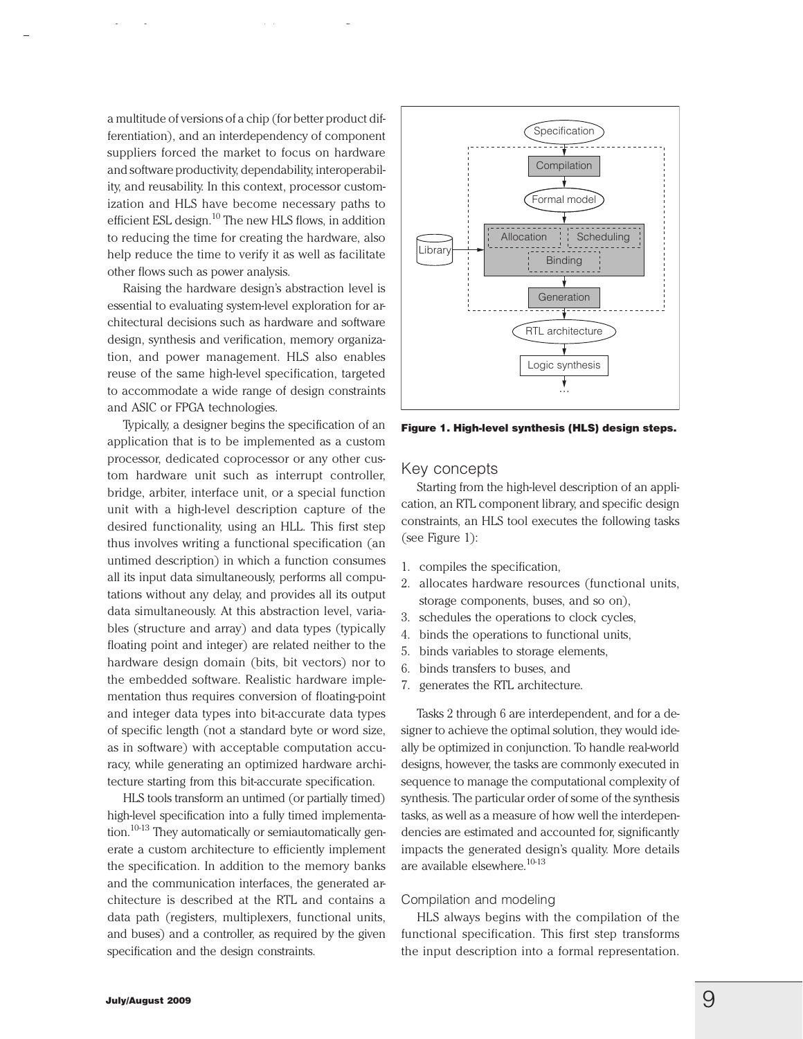a multitude of versions of a chip (for better product differentiation), and an interdependency of component suppliers forced the market to focus on hardware and software productivity, dependability, interoperability, and reusability. In this context, processor customization and HLS have become necessary paths to efficient ESL design. <sup>10</sup> The new HLS flows, in addition to reducing the time for creating the hardware, also help reduce the time to verify it as well as facilitate other flows such as power analysis.

[3B2-8] mdt2009040008.3d 17/7/09 13:24 Page 9

Raising the hardware design's abstraction level is essential to evaluating system-level exploration for architectural decisions such as hardware and software design, synthesis and verification, memory organization, and power management. HLS also enables reuse of the same high-level specification, targeted to accommodate a wide range of design constraints and ASIC or FPGA technologies.

Typically, a designer begins the specification of an application that is to be implemented as a custom processor, dedicated coprocessor or any other custom hardware unit such as interrupt controller, bridge, arbiter, interface unit, or a special function unit with a high-level description capture of the desired functionality, using an HLL. This first step thus involves writing a functional specification (an untimed description) in which a function consumes all its input data simultaneously, performs all computations without any delay, and provides all its output data simultaneously. At this abstraction level, variables (structure and array) and data types (typically floating point and integer) are related neither to the hardware design domain (bits, bit vectors) nor to the embedded software. Realistic hardware implementation thus requires conversion of floating-point and integer data types into bit-accurate data types of specific length (not a standard byte or word size, as in software) with acceptable computation accuracy, while generating an optimized hardware architecture starting from this bit-accurate specification.

HLS tools transform an untimed (or partially timed) high-level specification into a fully timed implementation.<sup>10-13</sup> They automatically or semiautomatically generate a custom architecture to efficiently implement the specification. In addition to the memory banks and the communication interfaces, the generated architecture is described at the RTL and contains a data path (registers, multiplexers, functional units, and buses) and a controller, as required by the given specification and the design constraints.



Figure 1. High-level synthesis (HLS) design steps.

## Key concepts

Starting from the high-level description of an application, an RTL component library, and specific design constraints, an HLS tool executes the following tasks (see Figure 1):

- 1. compiles the specification,
- 2. allocates hardware resources (functional units, storage components, buses, and so on),
- 3. schedules the operations to clock cycles,
- 4. binds the operations to functional units,
- 5. binds variables to storage elements,
- 6. binds transfers to buses, and
- 7. generates the RTL architecture.

Tasks 2 through 6 are interdependent, and for a designer to achieve the optimal solution, they would ideally be optimized in conjunction. To handle real-world designs, however, the tasks are commonly executed in sequence to manage the computational complexity of synthesis. The particular order of some of the synthesis tasks, as well as a measure of how well the interdependencies are estimated and accounted for, significantly impacts the generated design's quality. More details are available elsewhere.<sup>10-13</sup>

#### Compilation and modeling

HLS always begins with the compilation of the functional specification. This first step transforms the input description into a formal representation.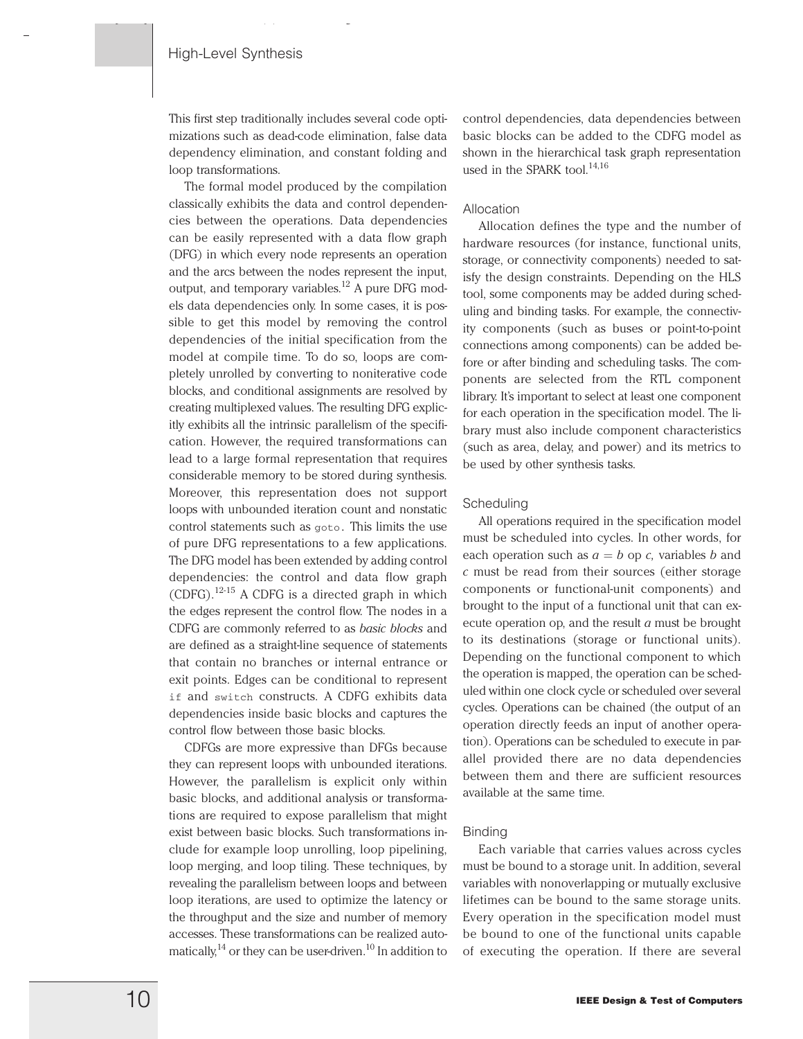This first step traditionally includes several code optimizations such as dead-code elimination, false data dependency elimination, and constant folding and loop transformations.

The formal model produced by the compilation classically exhibits the data and control dependencies between the operations. Data dependencies can be easily represented with a data flow graph (DFG) in which every node represents an operation and the arcs between the nodes represent the input, output, and temporary variables.<sup>12</sup> A pure DFG models data dependencies only. In some cases, it is possible to get this model by removing the control dependencies of the initial specification from the model at compile time. To do so, loops are completely unrolled by converting to noniterative code blocks, and conditional assignments are resolved by creating multiplexed values. The resulting DFG explicitly exhibits all the intrinsic parallelism of the specification. However, the required transformations can lead to a large formal representation that requires considerable memory to be stored during synthesis. Moreover, this representation does not support loops with unbounded iteration count and nonstatic control statements such as goto. This limits the use of pure DFG representations to a few applications. The DFG model has been extended by adding control dependencies: the control and data flow graph (CDFG). 12-15 A CDFG is a directed graph in which the edges represent the control flow. The nodes in a CDFG are commonly referred to as basic blocks and are defined as a straight-line sequence of statements that contain no branches or internal entrance or exit points. Edges can be conditional to represent if and switch constructs. A CDFG exhibits data dependencies inside basic blocks and captures the control flow between those basic blocks.

CDFGs are more expressive than DFGs because they can represent loops with unbounded iterations. However, the parallelism is explicit only within basic blocks, and additional analysis or transformations are required to expose parallelism that might exist between basic blocks. Such transformations include for example loop unrolling, loop pipelining, loop merging, and loop tiling. These techniques, by revealing the parallelism between loops and between loop iterations, are used to optimize the latency or the throughput and the size and number of memory accesses. These transformations can be realized automatically,<sup>14</sup> or they can be user-driven.<sup>10</sup> In addition to

control dependencies, data dependencies between basic blocks can be added to the CDFG model as shown in the hierarchical task graph representation used in the SPARK tool. 14,16

## Allocation

Allocation defines the type and the number of hardware resources (for instance, functional units, storage, or connectivity components) needed to satisfy the design constraints. Depending on the HLS tool, some components may be added during scheduling and binding tasks. For example, the connectivity components (such as buses or point-to-point connections among components) can be added before or after binding and scheduling tasks. The components are selected from the RTL component library. It's important to select at least one component for each operation in the specification model. The library must also include component characteristics (such as area, delay, and power) and its metrics to be used by other synthesis tasks.

## Scheduling

All operations required in the specification model must be scheduled into cycles. In other words, for each operation such as  $a = b$  op c, variables b and c must be read from their sources (either storage components or functional-unit components) and brought to the input of a functional unit that can execute operation op, and the result  $a$  must be brought to its destinations (storage or functional units). Depending on the functional component to which the operation is mapped, the operation can be scheduled within one clock cycle or scheduled over several cycles. Operations can be chained (the output of an operation directly feeds an input of another operation). Operations can be scheduled to execute in parallel provided there are no data dependencies between them and there are sufficient resources available at the same time.

#### Binding

Each variable that carries values across cycles must be bound to a storage unit. In addition, several variables with nonoverlapping or mutually exclusive lifetimes can be bound to the same storage units. Every operation in the specification model must be bound to one of the functional units capable of executing the operation. If there are several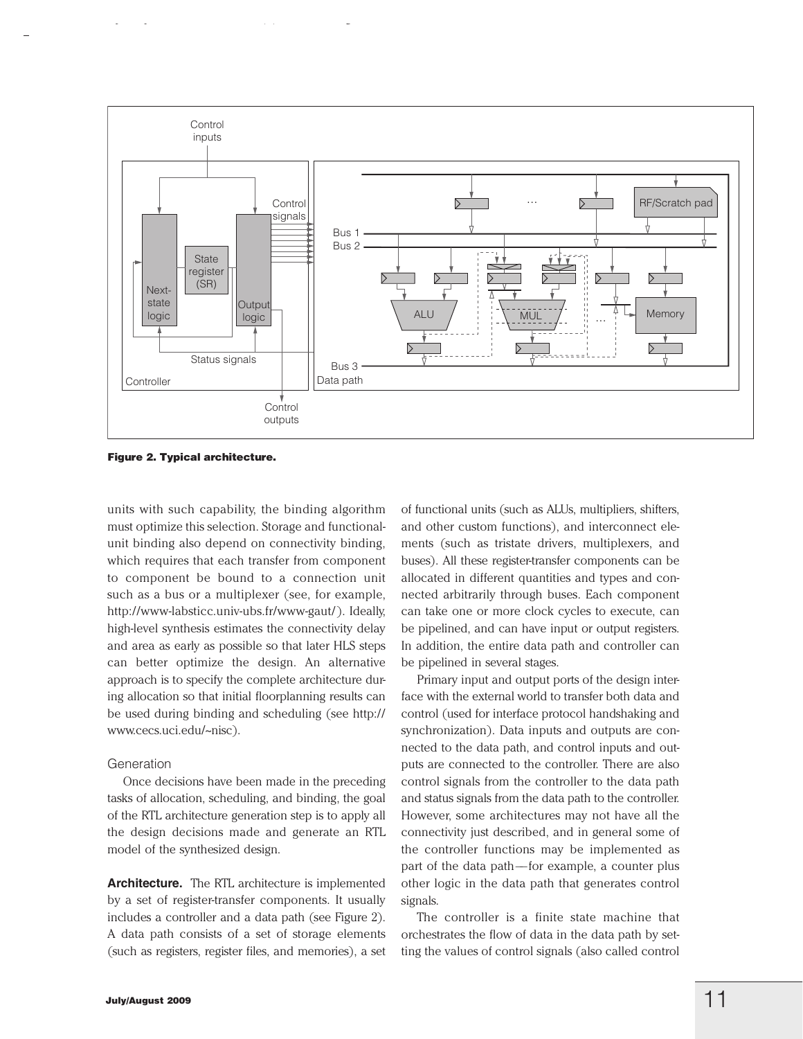

Figure 2. Typical architecture.

units with such capability, the binding algorithm must optimize this selection. Storage and functionalunit binding also depend on connectivity binding, which requires that each transfer from component to component be bound to a connection unit such as a bus or a multiplexer (see, for example, http://www-labsticc.univ-ubs.fr/www-gaut/). Ideally, high-level synthesis estimates the connectivity delay and area as early as possible so that later HLS steps can better optimize the design. An alternative approach is to specify the complete architecture during allocation so that initial floorplanning results can be used during binding and scheduling (see http:// www.cecs.uci.edu/~nisc).

[3B2-8] mdt2009040008.3d 17/7/09 13:24 Page 11

## Generation

Once decisions have been made in the preceding tasks of allocation, scheduling, and binding, the goal of the RTL architecture generation step is to apply all the design decisions made and generate an RTL model of the synthesized design.

Architecture. The RTL architecture is implemented by a set of register-transfer components. It usually includes a controller and a data path (see Figure 2). A data path consists of a set of storage elements (such as registers, register files, and memories), a set of functional units (such as ALUs, multipliers, shifters, and other custom functions), and interconnect elements (such as tristate drivers, multiplexers, and buses). All these register-transfer components can be allocated in different quantities and types and connected arbitrarily through buses. Each component can take one or more clock cycles to execute, can be pipelined, and can have input or output registers. In addition, the entire data path and controller can be pipelined in several stages.

Primary input and output ports of the design interface with the external world to transfer both data and control (used for interface protocol handshaking and synchronization). Data inputs and outputs are connected to the data path, and control inputs and outputs are connected to the controller. There are also control signals from the controller to the data path and status signals from the data path to the controller. However, some architectures may not have all the connectivity just described, and in general some of the controller functions may be implemented as part of the data path-for example, a counter plus other logic in the data path that generates control signals.

The controller is a finite state machine that orchestrates the flow of data in the data path by setting the values of control signals (also called control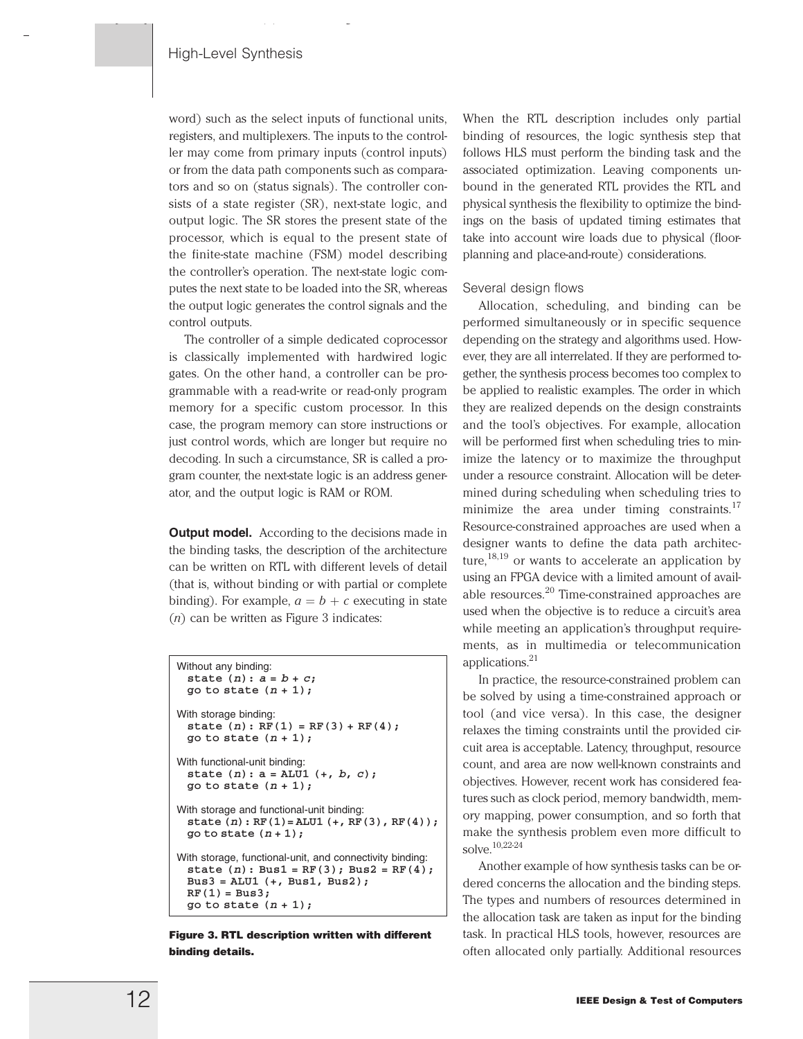word) such as the select inputs of functional units, registers, and multiplexers. The inputs to the controller may come from primary inputs (control inputs) or from the data path components such as comparators and so on (status signals). The controller consists of a state register (SR), next-state logic, and output logic. The SR stores the present state of the processor, which is equal to the present state of the finite-state machine (FSM) model describing the controller's operation. The next-state logic computes the next state to be loaded into the SR, whereas the output logic generates the control signals and the control outputs.

The controller of a simple dedicated coprocessor is classically implemented with hardwired logic gates. On the other hand, a controller can be programmable with a read-write or read-only program memory for a specific custom processor. In this case, the program memory can store instructions or just control words, which are longer but require no decoding. In such a circumstance, SR is called a program counter, the next-state logic is an address generator, and the output logic is RAM or ROM.

**Output model.** According to the decisions made in the binding tasks, the description of the architecture can be written on RTL with different levels of detail (that is, without binding or with partial or complete binding). For example,  $a = b + c$  executing in state  $(n)$  can be written as Figure 3 indicates:

```
Without any binding:
 state (n): a = b + c;go to state (n + 1);
With storage binding:
 state (n): RF(1) = RF(3) + RF(4);
 go to state (n+1);
With functional-unit binding:
 state (n): a = \text{ALU1} (+, b, c);
 go to state (n + 1);
With storage and functional-unit binding:
 state (n): RF(1) = ALU1 (+, RF(3), RF(4));
 go to state (n+1);
With storage, functional-unit, and connectivity binding:
 state (n): Bus1 = RF(3); Bus2 = RF(4);
 Bus3 = ALU1 (+, Bus1, Bus2);
 RF(1) = Bus3;go to state (n + 1);
```
Figure 3. RTL description written with different binding details.

When the RTL description includes only partial binding of resources, the logic synthesis step that follows HLS must perform the binding task and the associated optimization. Leaving components unbound in the generated RTL provides the RTL and physical synthesis the flexibility to optimize the bindings on the basis of updated timing estimates that take into account wire loads due to physical (floorplanning and place-and-route) considerations.

#### Several design flows

Allocation, scheduling, and binding can be performed simultaneously or in specific sequence depending on the strategy and algorithms used. However, they are all interrelated. If they are performed together, the synthesis process becomes too complex to be applied to realistic examples. The order in which they are realized depends on the design constraints and the tool's objectives. For example, allocation will be performed first when scheduling tries to minimize the latency or to maximize the throughput under a resource constraint. Allocation will be determined during scheduling when scheduling tries to minimize the area under timing constraints.<sup>17</sup> Resource-constrained approaches are used when a designer wants to define the data path architecture,<sup>18,19</sup> or wants to accelerate an application by using an FPGA device with a limited amount of available resources.<sup>20</sup> Time-constrained approaches are used when the objective is to reduce a circuit's area while meeting an application's throughput requirements, as in multimedia or telecommunication applications. 21

In practice, the resource-constrained problem can be solved by using a time-constrained approach or tool (and vice versa). In this case, the designer relaxes the timing constraints until the provided circuit area is acceptable. Latency, throughput, resource count, and area are now well-known constraints and objectives. However, recent work has considered features such as clock period, memory bandwidth, memory mapping, power consumption, and so forth that make the synthesis problem even more difficult to solve. 10,22-24

Another example of how synthesis tasks can be ordered concerns the allocation and the binding steps. The types and numbers of resources determined in the allocation task are taken as input for the binding task. In practical HLS tools, however, resources are often allocated only partially. Additional resources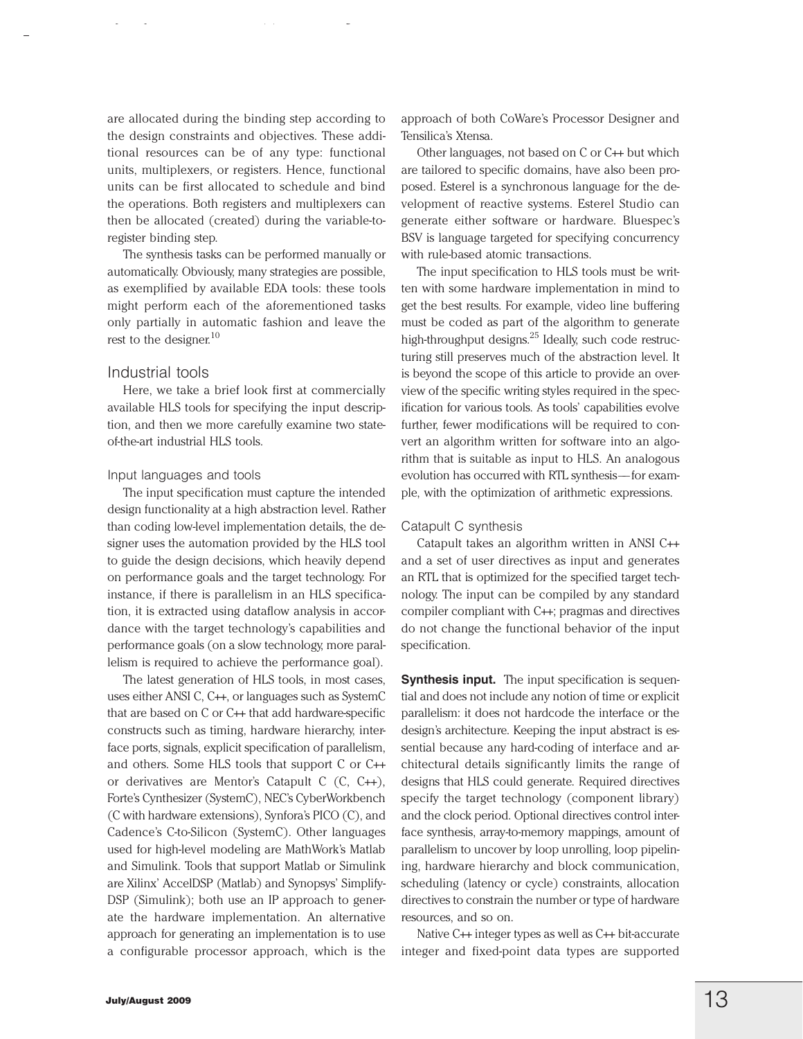are allocated during the binding step according to the design constraints and objectives. These additional resources can be of any type: functional units, multiplexers, or registers. Hence, functional units can be first allocated to schedule and bind the operations. Both registers and multiplexers can then be allocated (created) during the variable-toregister binding step.

[3B2-8] mdt2009040008.3d 17/7/09 13:24 Page 13

The synthesis tasks can be performed manually or automatically. Obviously, many strategies are possible, as exemplified by available EDA tools: these tools might perform each of the aforementioned tasks only partially in automatic fashion and leave the rest to the designer.<sup>10</sup>

## Industrial tools

Here, we take a brief look first at commercially available HLS tools for specifying the input description, and then we more carefully examine two stateof-the-art industrial HLS tools.

## Input languages and tools

The input specification must capture the intended design functionality at a high abstraction level. Rather than coding low-level implementation details, the designer uses the automation provided by the HLS tool to guide the design decisions, which heavily depend on performance goals and the target technology. For instance, if there is parallelism in an HLS specification, it is extracted using dataflow analysis in accordance with the target technology's capabilities and performance goals (on a slow technology, more parallelism is required to achieve the performance goal).

The latest generation of HLS tools, in most cases, uses either ANSI C, C++, or languages such as SystemC that are based on C or C++ that add hardware-specific constructs such as timing, hardware hierarchy, interface ports, signals, explicit specification of parallelism, and others. Some HLS tools that support C or C++ or derivatives are Mentor's Catapult C (C, C++), Forte's Cynthesizer (SystemC), NEC's CyberWorkbench (C with hardware extensions), Synfora's PICO (C), and Cadence's C-to-Silicon (SystemC). Other languages used for high-level modeling are MathWork's Matlab and Simulink. Tools that support Matlab or Simulink are Xilinx' AccelDSP (Matlab) and Synopsys' Simplify-DSP (Simulink); both use an IP approach to generate the hardware implementation. An alternative approach for generating an implementation is to use a configurable processor approach, which is the approach of both CoWare's Processor Designer and Tensilica's Xtensa.

Other languages, not based on  $C$  or  $C \rightarrow$  but which are tailored to specific domains, have also been proposed. Esterel is a synchronous language for the development of reactive systems. Esterel Studio can generate either software or hardware. Bluespec's BSV is language targeted for specifying concurrency with rule-based atomic transactions.

The input specification to HLS tools must be written with some hardware implementation in mind to get the best results. For example, video line buffering must be coded as part of the algorithm to generate high-throughput designs. <sup>25</sup> Ideally, such code restructuring still preserves much of the abstraction level. It is beyond the scope of this article to provide an overview of the specific writing styles required in the specification for various tools. As tools' capabilities evolve further, fewer modifications will be required to convert an algorithm written for software into an algorithm that is suitable as input to HLS. An analogous evolution has occurred with RTL synthesis-for example, with the optimization of arithmetic expressions.

#### Catapult C synthesis

Catapult takes an algorithm written in ANSI C++ and a set of user directives as input and generates an RTL that is optimized for the specified target technology. The input can be compiled by any standard compiler compliant with C++; pragmas and directives do not change the functional behavior of the input specification.

**Synthesis input.** The input specification is sequential and does not include any notion of time or explicit parallelism: it does not hardcode the interface or the design's architecture. Keeping the input abstract is essential because any hard-coding of interface and architectural details significantly limits the range of designs that HLS could generate. Required directives specify the target technology (component library) and the clock period. Optional directives control interface synthesis, array-to-memory mappings, amount of parallelism to uncover by loop unrolling, loop pipelining, hardware hierarchy and block communication, scheduling (latency or cycle) constraints, allocation directives to constrain the number or type of hardware resources, and so on.

Native  $C \leftrightarrow$  integer types as well as  $C \leftrightarrow$  bit-accurate integer and fixed-point data types are supported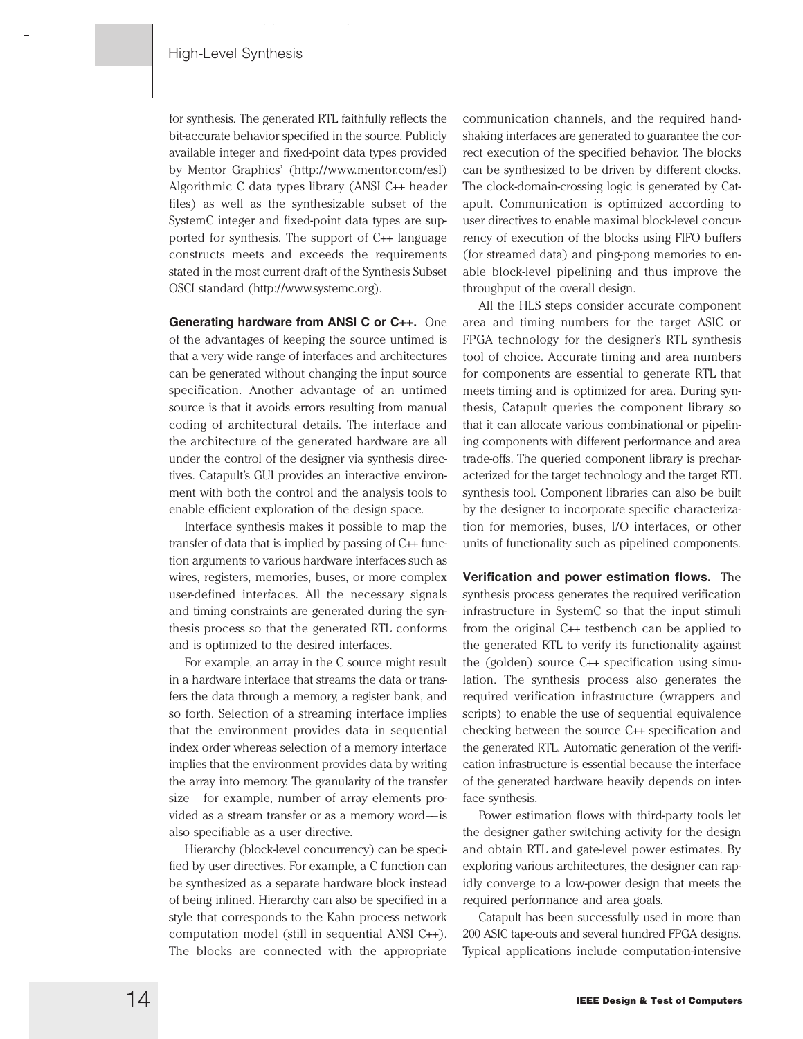for synthesis. The generated RTL faithfully reflects the bit-accurate behavior specified in the source. Publicly available integer and fixed-point data types provided by Mentor Graphics' (http://www.mentor.com/esl) Algorithmic C data types library (ANSI C++ header files) as well as the synthesizable subset of the SystemC integer and fixed-point data types are supported for synthesis. The support of C++ language constructs meets and exceeds the requirements stated in the most current draft of the Synthesis Subset OSCI standard (http://www.systemc.org).

Generating hardware from ANSI C or C++. One of the advantages of keeping the source untimed is that a very wide range of interfaces and architectures can be generated without changing the input source specification. Another advantage of an untimed source is that it avoids errors resulting from manual coding of architectural details. The interface and the architecture of the generated hardware are all under the control of the designer via synthesis directives. Catapult's GUI provides an interactive environment with both the control and the analysis tools to enable efficient exploration of the design space.

Interface synthesis makes it possible to map the transfer of data that is implied by passing of  $C \rightarrow$  function arguments to various hardware interfaces such as wires, registers, memories, buses, or more complex user-defined interfaces. All the necessary signals and timing constraints are generated during the synthesis process so that the generated RTL conforms and is optimized to the desired interfaces.

For example, an array in the C source might result in a hardware interface that streams the data or transfers the data through a memory, a register bank, and so forth. Selection of a streaming interface implies that the environment provides data in sequential index order whereas selection of a memory interface implies that the environment provides data by writing the array into memory. The granularity of the transfer size-for example, number of array elements provided as a stream transfer or as a memory word-is also specifiable as a user directive.

Hierarchy (block-level concurrency) can be specified by user directives. For example, a C function can be synthesized as a separate hardware block instead of being inlined. Hierarchy can also be specified in a style that corresponds to the Kahn process network computation model (still in sequential ANSI C++). The blocks are connected with the appropriate communication channels, and the required handshaking interfaces are generated to guarantee the correct execution of the specified behavior. The blocks can be synthesized to be driven by different clocks. The clock-domain-crossing logic is generated by Catapult. Communication is optimized according to user directives to enable maximal block-level concurrency of execution of the blocks using FIFO buffers (for streamed data) and ping-pong memories to enable block-level pipelining and thus improve the throughput of the overall design.

All the HLS steps consider accurate component area and timing numbers for the target ASIC or FPGA technology for the designer's RTL synthesis tool of choice. Accurate timing and area numbers for components are essential to generate RTL that meets timing and is optimized for area. During synthesis, Catapult queries the component library so that it can allocate various combinational or pipelining components with different performance and area trade-offs. The queried component library is precharacterized for the target technology and the target RTL synthesis tool. Component libraries can also be built by the designer to incorporate specific characterization for memories, buses, I/O interfaces, or other units of functionality such as pipelined components.

Verification and power estimation flows. The synthesis process generates the required verification infrastructure in SystemC so that the input stimuli from the original C++ testbench can be applied to the generated RTL to verify its functionality against the (golden) source C++ specification using simulation. The synthesis process also generates the required verification infrastructure (wrappers and scripts) to enable the use of sequential equivalence checking between the source C++ specification and the generated RTL. Automatic generation of the verification infrastructure is essential because the interface of the generated hardware heavily depends on interface synthesis.

Power estimation flows with third-party tools let the designer gather switching activity for the design and obtain RTL and gate-level power estimates. By exploring various architectures, the designer can rapidly converge to a low-power design that meets the required performance and area goals.

Catapult has been successfully used in more than 200 ASIC tape-outs and several hundred FPGA designs. Typical applications include computation-intensive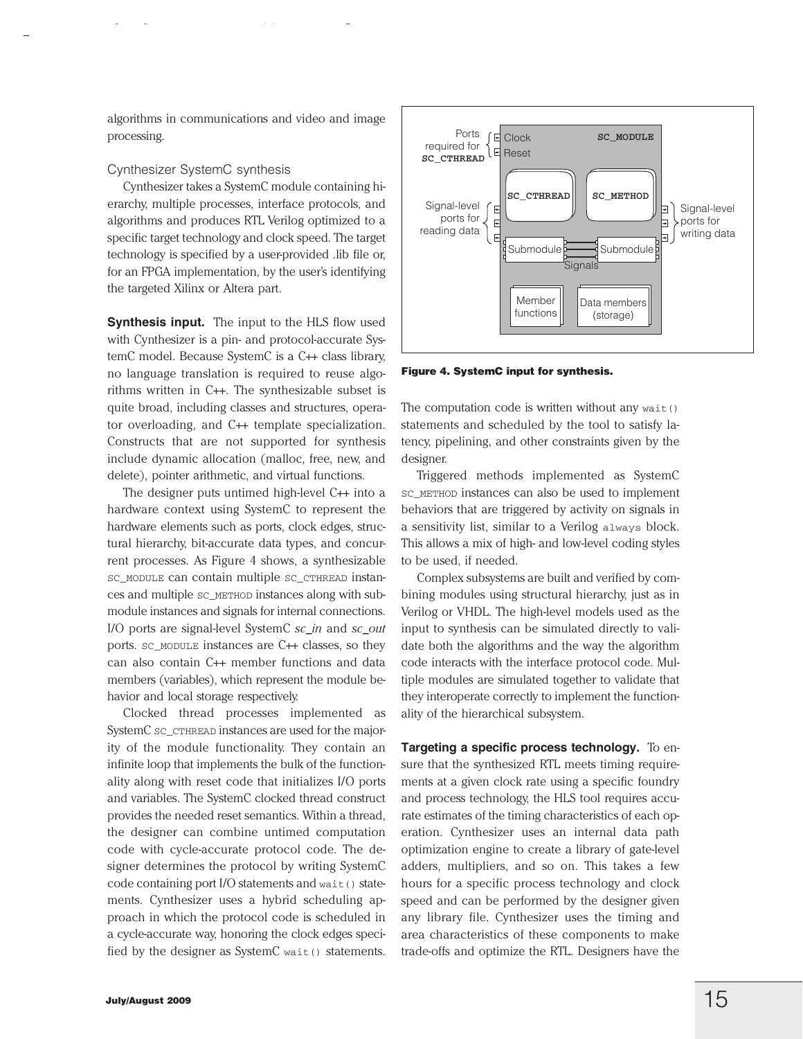algorithms in communications and video and image processing.

[3B2-8] mdt2009040008.3d 17/7/09 13:24 Page 15

#### Cynthesizer SystemC synthesis

Cynthesizer takes a SystemC module containing hierarchy, multiple processes, interface protocols, and algorithms and produces RTL Verilog optimized to a specific target technology and clock speed. The target technology is specified by a user-provided .lib file or, for an FPGA implementation, by the user's identifying the targeted Xilinx or Altera part.

**Synthesis input.** The input to the HLS flow used with Cynthesizer is a pin- and protocol-accurate SystemC model. Because SystemC is a  $C \rightarrow$  class library, no language translation is required to reuse algorithms written in C++. The synthesizable subset is quite broad, including classes and structures, operator overloading, and C++ template specialization. Constructs that are not supported for synthesis include dynamic allocation (malloc, free, new, and delete), pointer arithmetic, and virtual functions.

The designer puts untimed high-level C++ into a hardware context using SystemC to represent the hardware elements such as ports, clock edges, structural hierarchy, bit-accurate data types, and concurrent processes. As Figure 4 shows, a synthesizable SC\_MODULE can contain multiple SC\_CTHREAD instances and multiple SC\_METHOD instances along with submodule instances and signals for internal connections. I/O ports are signal-level SystemC sc\_in and sc\_out ports. SC\_MODULE instances are C++ classes, so they can also contain C++ member functions and data members (variables), which represent the module behavior and local storage respectively.

Clocked thread processes implemented as SystemC SC\_CTHREAD instances are used for the majority of the module functionality. They contain an infinite loop that implements the bulk of the functionality along with reset code that initializes I/O ports and variables. The SystemC clocked thread construct provides the needed reset semantics. Within a thread, the designer can combine untimed computation code with cycle-accurate protocol code. The designer determines the protocol by writing SystemC code containing port I/O statements and wait() statements. Cynthesizer uses a hybrid scheduling approach in which the protocol code is scheduled in a cycle-accurate way, honoring the clock edges specified by the designer as SystemC wait() statements.



Figure 4. SystemC input for synthesis.

The computation code is written without any wait() statements and scheduled by the tool to satisfy latency, pipelining, and other constraints given by the designer.

Triggered methods implemented as SystemC SC\_METHOD instances can also be used to implement behaviors that are triggered by activity on signals in a sensitivity list, similar to a Verilog always block. This allows a mix of high- and low-level coding styles to be used, if needed.

Complex subsystems are built and verified by combining modules using structural hierarchy, just as in Verilog or VHDL. The high-level models used as the input to synthesis can be simulated directly to validate both the algorithms and the way the algorithm code interacts with the interface protocol code. Multiple modules are simulated together to validate that they interoperate correctly to implement the functionality of the hierarchical subsystem.

Targeting a specific process technology. To ensure that the synthesized RTL meets timing requirements at a given clock rate using a specific foundry and process technology, the HLS tool requires accurate estimates of the timing characteristics of each operation. Cynthesizer uses an internal data path optimization engine to create a library of gate-level adders, multipliers, and so on. This takes a few hours for a specific process technology and clock speed and can be performed by the designer given any library file. Cynthesizer uses the timing and area characteristics of these components to make trade-offs and optimize the RTL. Designers have the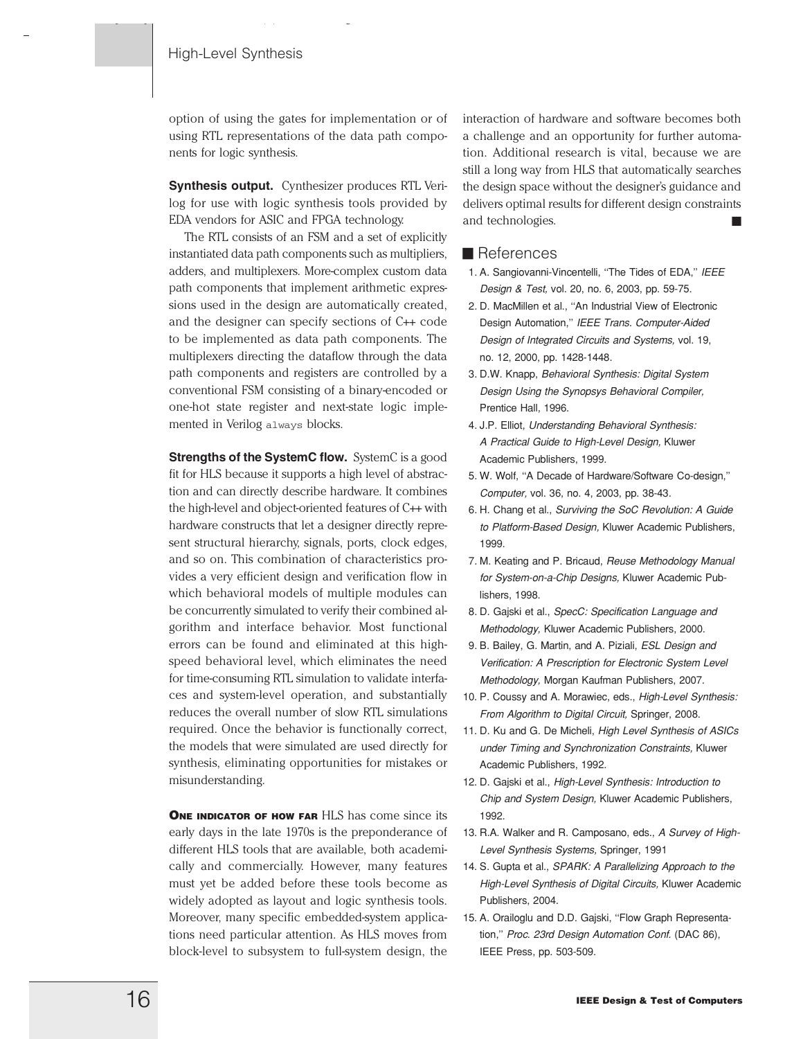# High-Level Synthesis

[3B2-8] mdt2009040008.3d 17/7/09 13:24 Page 16

option of using the gates for implementation or of using RTL representations of the data path components for logic synthesis.

Synthesis output. Cynthesizer produces RTL Verilog for use with logic synthesis tools provided by EDA vendors for ASIC and FPGA technology.

The RTL consists of an FSM and a set of explicitly instantiated data path components such as multipliers, adders, and multiplexers. More-complex custom data path components that implement arithmetic expressions used in the design are automatically created, and the designer can specify sections of C++ code to be implemented as data path components. The multiplexers directing the dataflow through the data path components and registers are controlled by a conventional FSM consisting of a binary-encoded or one-hot state register and next-state logic implemented in Verilog always blocks.

Strengths of the SystemC flow. SystemC is a good fit for HLS because it supports a high level of abstraction and can directly describe hardware. It combines the high-level and object-oriented features of C++ with hardware constructs that let a designer directly represent structural hierarchy, signals, ports, clock edges, and so on. This combination of characteristics provides a very efficient design and verification flow in which behavioral models of multiple modules can be concurrently simulated to verify their combined algorithm and interface behavior. Most functional errors can be found and eliminated at this highspeed behavioral level, which eliminates the need for time-consuming RTL simulation to validate interfaces and system-level operation, and substantially reduces the overall number of slow RTL simulations required. Once the behavior is functionally correct, the models that were simulated are used directly for synthesis, eliminating opportunities for mistakes or misunderstanding.

ONE INDICATOR OF HOW FAR HLS has come since its early days in the late 1970s is the preponderance of different HLS tools that are available, both academically and commercially. However, many features must yet be added before these tools become as widely adopted as layout and logic synthesis tools. Moreover, many specific embedded-system applications need particular attention. As HLS moves from block-level to subsystem to full-system design, the interaction of hardware and software becomes both a challenge and an opportunity for further automation. Additional research is vital, because we are still a long way from HLS that automatically searches the design space without the designer's guidance and delivers optimal results for different design constraints and technologies.

## **■** References

- 1. A. Sangiovanni-Vincentelli, "The Tides of EDA," IEEE Design & Test, vol. 20, no. 6, 2003, pp. 59-75.
- 2. D. MacMillen et al., ''An Industrial View of Electronic Design Automation,'' IEEE Trans. Computer-Aided Design of Integrated Circuits and Systems, vol. 19, no. 12, 2000, pp. 1428-1448.
- 3. D.W. Knapp, Behavioral Synthesis: Digital System Design Using the Synopsys Behavioral Compiler, Prentice Hall, 1996.
- 4. J.P. Elliot, Understanding Behavioral Synthesis: A Practical Guide to High-Level Design, Kluwer Academic Publishers, 1999.
- 5. W. Wolf, ''A Decade of Hardware/Software Co-design,'' Computer, vol. 36, no. 4, 2003, pp. 38-43.
- 6. H. Chang et al., Surviving the SoC Revolution: A Guide to Platform-Based Design, Kluwer Academic Publishers, 1999.
- 7. M. Keating and P. Bricaud, Reuse Methodology Manual for System-on-a-Chip Designs, Kluwer Academic Publishers, 1998.
- 8. D. Gajski et al., SpecC: Specification Language and Methodology, Kluwer Academic Publishers, 2000.
- 9. B. Bailey, G. Martin, and A. Piziali, ESL Design and Verification: A Prescription for Electronic System Level Methodology, Morgan Kaufman Publishers, 2007.
- 10. P. Coussy and A. Morawiec, eds., High-Level Synthesis: From Algorithm to Digital Circuit, Springer, 2008.
- 11. D. Ku and G. De Micheli, High Level Synthesis of ASICs under Timing and Synchronization Constraints, Kluwer Academic Publishers, 1992.
- 12. D. Gajski et al., High-Level Synthesis: Introduction to Chip and System Design, Kluwer Academic Publishers, 1992.
- 13. R.A. Walker and R. Camposano, eds., A Survey of High-Level Synthesis Systems, Springer, 1991
- 14. S. Gupta et al., SPARK: A Parallelizing Approach to the High-Level Synthesis of Digital Circuits, Kluwer Academic Publishers, 2004.
- 15. A. Orailoglu and D.D. Gajski, ''Flow Graph Representation,'' Proc. 23rd Design Automation Conf. (DAC 86), IEEE Press, pp. 503-509.